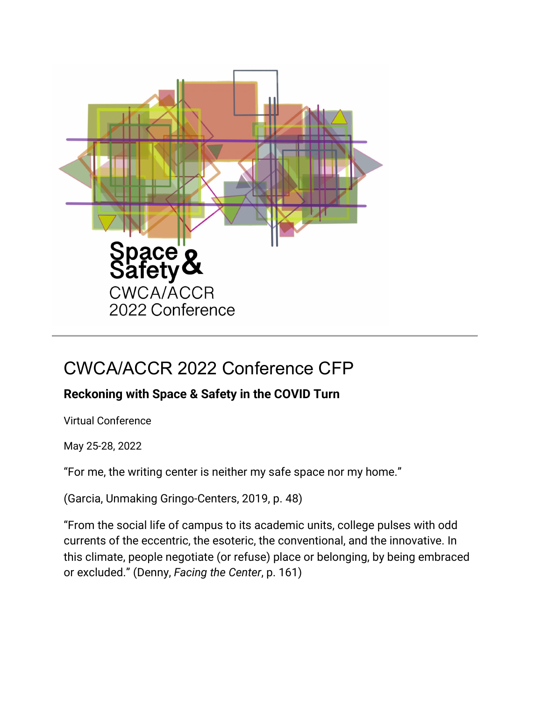

# CWCA/ACCR 2022 Conference CFP

# **Reckoning with Space & Safety in the COVID Turn**

Virtual Conference

May 25-28, 2022

"For me, the writing center is neither my safe space nor my home."

(Garcia, Unmaking Gringo-Centers, 2019, p. 48)

"From the social life of campus to its academic units, college pulses with odd currents of the eccentric, the esoteric, the conventional, and the innovative. In this climate, people negotiate (or refuse) place or belonging, by being embraced or excluded." (Denny, *Facing the Center*, p. 161)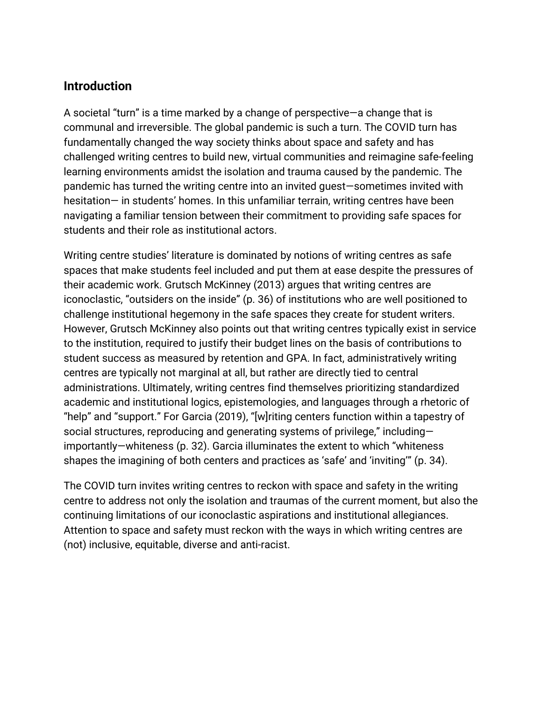# **Introduction**

A societal "turn" is a time marked by a change of perspective—a change that is communal and irreversible. The global pandemic is such a turn. The COVID turn has fundamentally changed the way society thinks about space and safety and has challenged writing centres to build new, virtual communities and reimagine safe-feeling learning environments amidst the isolation and trauma caused by the pandemic. The pandemic has turned the writing centre into an invited guest―sometimes invited with hesitation— in students' homes. In this unfamiliar terrain, writing centres have been navigating a familiar tension between their commitment to providing safe spaces for students and their role as institutional actors.

Writing centre studies' literature is dominated by notions of writing centres as safe spaces that make students feel included and put them at ease despite the pressures of their academic work. Grutsch McKinney (2013) argues that writing centres are iconoclastic, "outsiders on the inside" (p. 36) of institutions who are well positioned to challenge institutional hegemony in the safe spaces they create for student writers. However, Grutsch McKinney also points out that writing centres typically exist in service to the institution, required to justify their budget lines on the basis of contributions to student success as measured by retention and GPA. In fact, administratively writing centres are typically not marginal at all, but rather are directly tied to central administrations. Ultimately, writing centres find themselves prioritizing standardized academic and institutional logics, epistemologies, and languages through a rhetoric of "help" and "support." For Garcia (2019), "[w]riting centers function within a tapestry of social structures, reproducing and generating systems of privilege," including importantly—whiteness (p. 32). Garcia illuminates the extent to which "whiteness shapes the imagining of both centers and practices as 'safe' and 'inviting'" (p. 34).

The COVID turn invites writing centres to reckon with space and safety in the writing centre to address not only the isolation and traumas of the current moment, but also the continuing limitations of our iconoclastic aspirations and institutional allegiances. Attention to space and safety must reckon with the ways in which writing centres are (not) inclusive, equitable, diverse and anti-racist.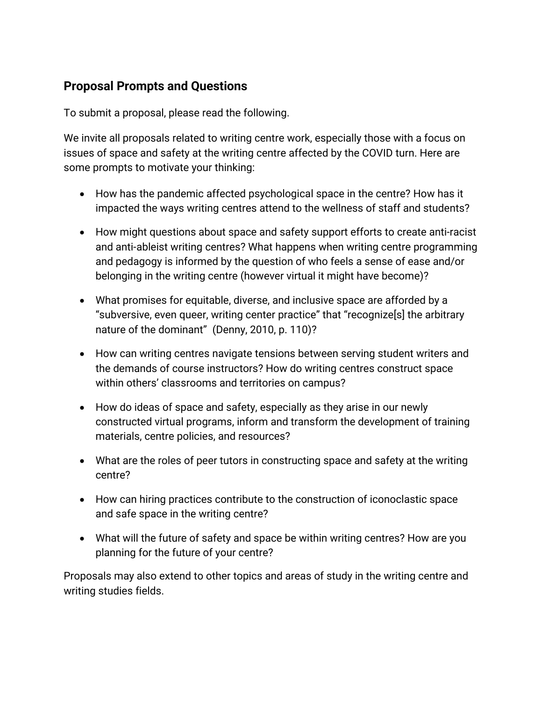# **Proposal Prompts and Questions**

To submit a proposal, please read the following.

We invite all proposals related to writing centre work, especially those with a focus on issues of space and safety at the writing centre affected by the COVID turn. Here are some prompts to motivate your thinking:

- How has the pandemic affected psychological space in the centre? How has it impacted the ways writing centres attend to the wellness of staff and students?
- How might questions about space and safety support efforts to create anti-racist and anti-ableist writing centres? What happens when writing centre programming and pedagogy is informed by the question of who feels a sense of ease and/or belonging in the writing centre (however virtual it might have become)?
- What promises for equitable, diverse, and inclusive space are afforded by a "subversive, even queer, writing center practice" that "recognize[s] the arbitrary nature of the dominant" (Denny, 2010, p. 110)?
- How can writing centres navigate tensions between serving student writers and the demands of course instructors? How do writing centres construct space within others' classrooms and territories on campus?
- How do ideas of space and safety, especially as they arise in our newly constructed virtual programs, inform and transform the development of training materials, centre policies, and resources?
- What are the roles of peer tutors in constructing space and safety at the writing centre?
- How can hiring practices contribute to the construction of iconoclastic space and safe space in the writing centre?
- What will the future of safety and space be within writing centres? How are you planning for the future of your centre?

Proposals may also extend to other topics and areas of study in the writing centre and writing studies fields.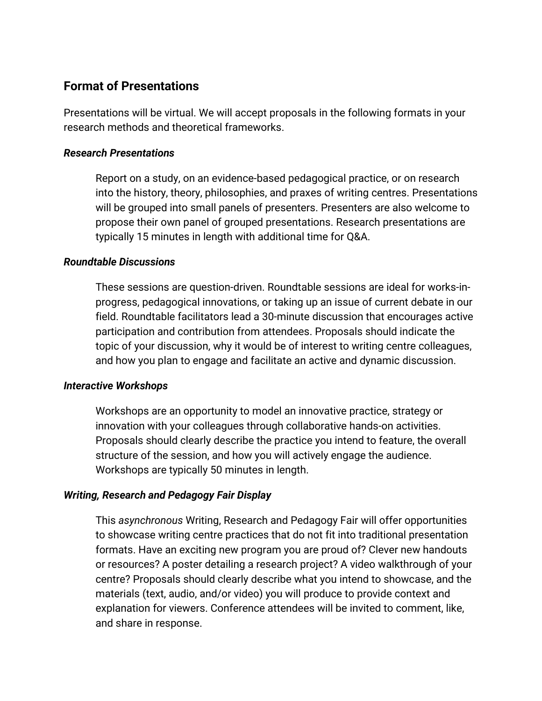## **Format of Presentations**

Presentations will be virtual. We will accept proposals in the following formats in your research methods and theoretical frameworks.

#### *Research Presentations*

Report on a study, on an evidence-based pedagogical practice, or on research into the history, theory, philosophies, and praxes of writing centres. Presentations will be grouped into small panels of presenters. Presenters are also welcome to propose their own panel of grouped presentations. Research presentations are typically 15 minutes in length with additional time for Q&A.

#### *Roundtable Discussions*

These sessions are question-driven. Roundtable sessions are ideal for works-inprogress, pedagogical innovations, or taking up an issue of current debate in our field. Roundtable facilitators lead a 30-minute discussion that encourages active participation and contribution from attendees. Proposals should indicate the topic of your discussion, why it would be of interest to writing centre colleagues, and how you plan to engage and facilitate an active and dynamic discussion.

#### *Interactive Workshops*

Workshops are an opportunity to model an innovative practice, strategy or innovation with your colleagues through collaborative hands-on activities. Proposals should clearly describe the practice you intend to feature, the overall structure of the session, and how you will actively engage the audience. Workshops are typically 50 minutes in length.

#### *Writing, Research and Pedagogy Fair Display*

This *asynchronous* Writing, Research and Pedagogy Fair will offer opportunities to showcase writing centre practices that do not fit into traditional presentation formats. Have an exciting new program you are proud of? Clever new handouts or resources? A poster detailing a research project? A video walkthrough of your centre? Proposals should clearly describe what you intend to showcase, and the materials (text, audio, and/or video) you will produce to provide context and explanation for viewers. Conference attendees will be invited to comment, like, and share in response.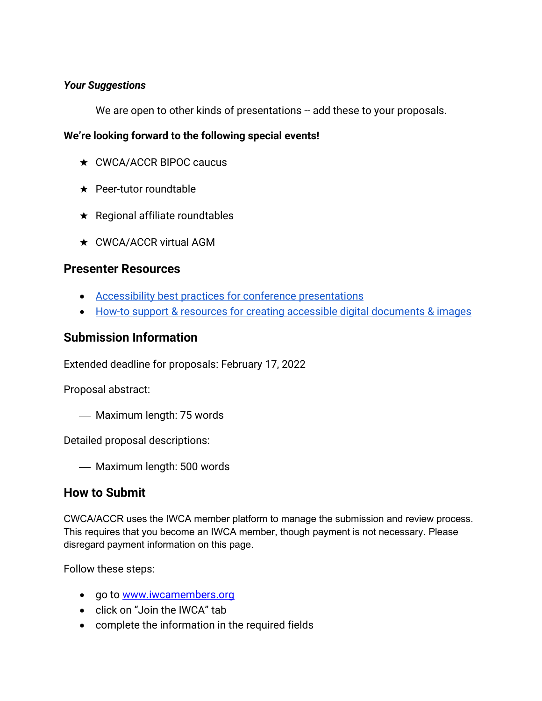#### *Your Suggestions*

We are open to other kinds of presentations -- add these to your proposals.

#### **We're looking forward to the following special events!**

- ★ CWCA/ACCR BIPOC caucus
- ★ Peer-tutor roundtable
- ★ Regional affiliate roundtables
- **★ CWCA/ACCR virtual AGM**

#### **Presenter Resources**

- [Accessibility best practices for conference presentations](https://drive.google.com/file/d/14yVyfb4sFMoMR3evwLhNF6UsOpdmcGqn/view?usp=sharing)
- [How-to support & resources for creating accessible digital documents & images](https://drive.google.com/file/d/1ilWwipLImMS6K2QR1zJrmeALcJYUk6Bo/view?usp=sharing)

### **Submission Information**

Extended deadline for proposals: February 17, 2022

Proposal abstract:

Maximum length: 75 words

Detailed proposal descriptions:

- Maximum length: 500 words

#### **How to Submit**

CWCA/ACCR uses the IWCA member platform to manage the submission and review process. This requires that you become an IWCA member, though payment is not necessary. Please disregard payment information on this page.

Follow these steps:

- go to www.iwcamembers.org
- click on "Join the IWCA" tab
- complete the information in the required fields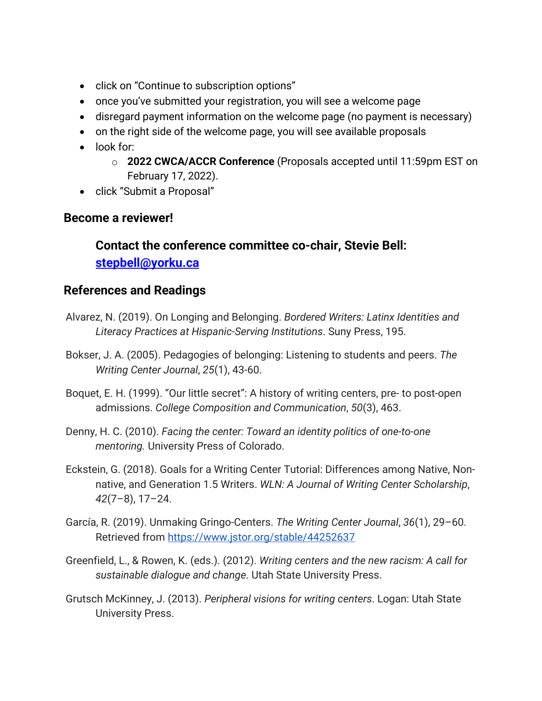- click on "Continue to subscription options"
- once you've submitted your registration, you will see a welcome page
- disregard payment information on the welcome page (no payment is necessary)
- on the right side of the welcome page, you will see available proposals
- look for:
	- o **2022 CWCA/ACCR Conference** (Proposals accepted until 11:59pm EST on February 17, 2022).
- click "Submit a Proposal"

## **Become a reviewer!**

# **Contact the conference committee co-chair, Stevie Bell: [stepbell@yorku.ca](mailto:stepbell@yorku.ca)**

# **References and Readings**

- Alvarez, N. (2019). On Longing and Belonging. *Bordered Writers: Latinx Identities and Literacy Practices at Hispanic-Serving Institutions*. Suny Press, 195.
- Bokser, J. A. (2005). Pedagogies of belonging: Listening to students and peers. *The Writing Center Journal*, *25*(1), 43-60.
- Boquet, E. H. (1999). "Our little secret": A history of writing centers, pre- to post-open admissions. *College Composition and Communication*, *50*(3), 463.
- Denny, H. C. (2010). *Facing the center: Toward an identity politics of one-to-one mentoring.* University Press of Colorado.
- Eckstein, G. (2018). Goals for a Writing Center Tutorial: Differences among Native, Nonnative, and Generation 1.5 Writers. *WLN: A Journal of Writing Center Scholarship*, *42*(7–8), 17–24.
- García, R. (2019). Unmaking Gringo-Centers. *The Writing Center Journal*, *36*(1), 29–60. Retrieved from<https://www.jstor.org/stable/44252637>
- Greenfield, L., & Rowen, K. (eds.). (2012). *Writing centers and the new racism: A call for sustainable dialogue and change*. Utah State University Press.
- Grutsch McKinney, J. (2013). *Peripheral visions for writing centers*. Logan: Utah State University Press.